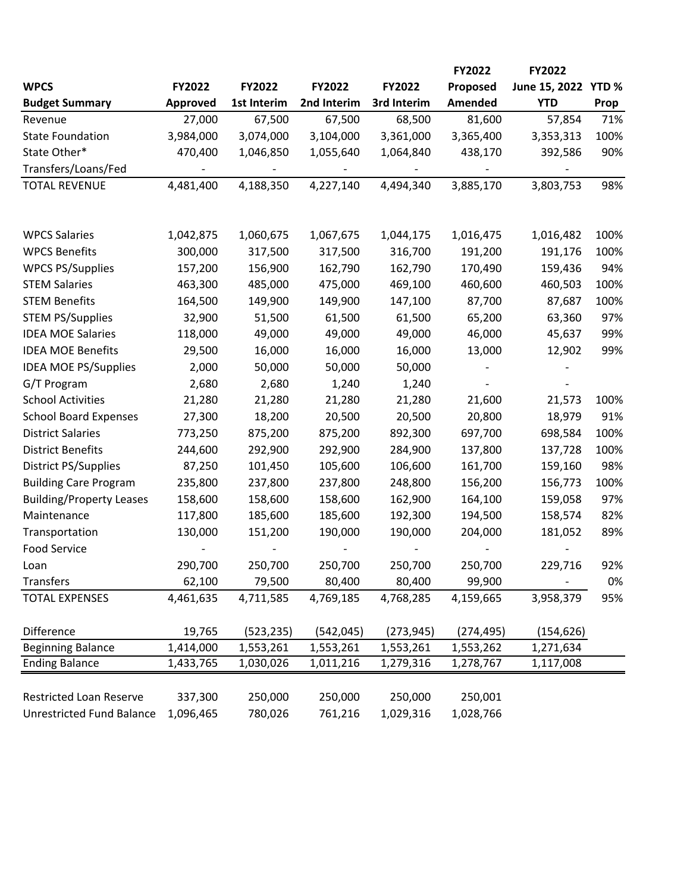|                                  |           |             |             |             | FY2022         | <b>FY2022</b> |                  |
|----------------------------------|-----------|-------------|-------------|-------------|----------------|---------------|------------------|
| <b>WPCS</b>                      | FY2022    | FY2022      | FY2022      | FY2022      | Proposed       | June 15, 2022 | YTD <sub>%</sub> |
| <b>Budget Summary</b>            | Approved  | 1st Interim | 2nd Interim | 3rd Interim | <b>Amended</b> | <b>YTD</b>    | Prop             |
| Revenue                          | 27,000    | 67,500      | 67,500      | 68,500      | 81,600         | 57,854        | 71%              |
| <b>State Foundation</b>          | 3,984,000 | 3,074,000   | 3,104,000   | 3,361,000   | 3,365,400      | 3,353,313     | 100%             |
| State Other*                     | 470,400   | 1,046,850   | 1,055,640   | 1,064,840   | 438,170        | 392,586       | 90%              |
| Transfers/Loans/Fed              |           |             |             |             |                |               |                  |
| <b>TOTAL REVENUE</b>             | 4,481,400 | 4,188,350   | 4,227,140   | 4,494,340   | 3,885,170      | 3,803,753     | 98%              |
|                                  |           |             |             |             |                |               |                  |
| <b>WPCS Salaries</b>             | 1,042,875 | 1,060,675   | 1,067,675   | 1,044,175   | 1,016,475      | 1,016,482     | 100%             |
| <b>WPCS Benefits</b>             | 300,000   | 317,500     | 317,500     | 316,700     | 191,200        | 191,176       | 100%             |
| <b>WPCS PS/Supplies</b>          | 157,200   | 156,900     | 162,790     | 162,790     | 170,490        | 159,436       | 94%              |
| <b>STEM Salaries</b>             | 463,300   | 485,000     | 475,000     | 469,100     | 460,600        | 460,503       | 100%             |
| <b>STEM Benefits</b>             | 164,500   | 149,900     | 149,900     | 147,100     | 87,700         | 87,687        | 100%             |
| <b>STEM PS/Supplies</b>          | 32,900    | 51,500      | 61,500      | 61,500      | 65,200         | 63,360        | 97%              |
| <b>IDEA MOE Salaries</b>         | 118,000   | 49,000      | 49,000      | 49,000      | 46,000         | 45,637        | 99%              |
| <b>IDEA MOE Benefits</b>         | 29,500    | 16,000      | 16,000      | 16,000      | 13,000         | 12,902        | 99%              |
| <b>IDEA MOE PS/Supplies</b>      | 2,000     | 50,000      | 50,000      | 50,000      |                |               |                  |
| G/T Program                      | 2,680     | 2,680       | 1,240       | 1,240       |                |               |                  |
| <b>School Activities</b>         | 21,280    | 21,280      | 21,280      | 21,280      | 21,600         | 21,573        | 100%             |
| <b>School Board Expenses</b>     | 27,300    | 18,200      | 20,500      | 20,500      | 20,800         | 18,979        | 91%              |
| <b>District Salaries</b>         | 773,250   | 875,200     | 875,200     | 892,300     | 697,700        | 698,584       | 100%             |
| <b>District Benefits</b>         | 244,600   | 292,900     | 292,900     | 284,900     | 137,800        | 137,728       | 100%             |
| District PS/Supplies             | 87,250    | 101,450     | 105,600     | 106,600     | 161,700        | 159,160       | 98%              |
| <b>Building Care Program</b>     | 235,800   | 237,800     | 237,800     | 248,800     | 156,200        | 156,773       | 100%             |
| <b>Building/Property Leases</b>  | 158,600   | 158,600     | 158,600     | 162,900     | 164,100        | 159,058       | 97%              |
| Maintenance                      | 117,800   | 185,600     | 185,600     | 192,300     | 194,500        | 158,574       | 82%              |
| Transportation                   | 130,000   | 151,200     | 190,000     | 190,000     | 204,000        | 181,052       | 89%              |
| <b>Food Service</b>              |           |             |             |             |                |               |                  |
| Loan                             | 290,700   | 250,700     | 250,700     | 250,700     | 250,700        | 229,716       | 92%              |
| Transfers                        | 62,100    | 79,500      | 80,400      | 80,400      | 99,900         |               | 0%               |
| <b>TOTAL EXPENSES</b>            | 4,461,635 | 4,711,585   | 4,769,185   | 4,768,285   | 4,159,665      | 3,958,379     | 95%              |
| Difference                       | 19,765    | (523, 235)  | (542, 045)  | (273, 945)  | (274, 495)     | (154, 626)    |                  |
| <b>Beginning Balance</b>         | 1,414,000 | 1,553,261   | 1,553,261   | 1,553,261   | 1,553,262      | 1,271,634     |                  |
| <b>Ending Balance</b>            | 1,433,765 | 1,030,026   | 1,011,216   | 1,279,316   | 1,278,767      | 1,117,008     |                  |
| <b>Restricted Loan Reserve</b>   | 337,300   | 250,000     | 250,000     | 250,000     | 250,001        |               |                  |
| <b>Unrestricted Fund Balance</b> | 1,096,465 | 780,026     | 761,216     | 1,029,316   | 1,028,766      |               |                  |
|                                  |           |             |             |             |                |               |                  |